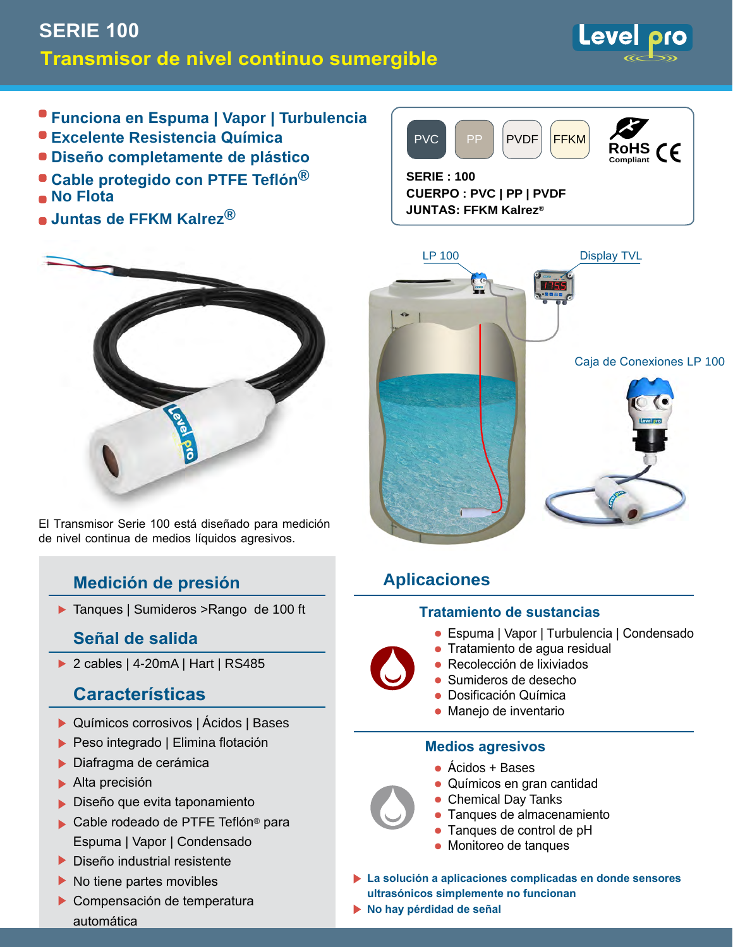# **SERIE 100 Transmisor de nivel continuo sumergible**

Level

- **Funciona en Espuma | Vapor | Turbulencia**
- **Excelente Resistencia Química**
- **Diseño completamente de plástico**
- **Cable protegido con PTFE Teflón® No Flota**
- **Juntas de FFKM Kalrez®**



**CUERPO : PVC | PP | PVDF JUNTAS: FFKM Kalrez®**



El Transmisor Serie 100 está diseñado para medición de nivel continua de medios líquidos agresivos.

## **Medición de presión**

▶ Tanques | Sumideros > Rango de 100 ft

### **Señal de salida**

▶ 2 cables | 4-20mA | Hart | RS485

## **Características**

- ▶ Químicos corrosivos | Ácidos | Bases
- ▶ Peso integrado | Elimina flotación
- Diafragma de cerámica
- Alta precisión
- **Diseño que evita taponamiento**
- Cable rodeado de PTFE Teflón<sup>®</sup> para Espuma | Vapor | Condensado
- Diseño industrial resistente
- $\blacktriangleright$  No tiene partes movibles
- Compensación de temperatura automática



## **Aplicaciones**

#### **Tratamiento de sustancias**

- Espuma | Vapor | Turbulencia | Condensado
- $\bullet\,$  Tratamiento de agua residual
- Recolección de lixiviados
- Sumideros de desecho
- $\bullet\,$  Dosificación Química
- $\bullet\,$  Manejo de inventario

#### **Medios agresivos**

- Acidos + Bases
- Químicos en gran cantidad •
- Chemical Day Tanks •
- $\bullet\,$  Tanques de almacenamiento
- Tanques de control de pH •
- Monitoreo de tanques •
- **La solución a aplicaciones complicadas en donde sensores ultrasónicos simplemente no funcionan**
- **No hay pérdidad de señal**



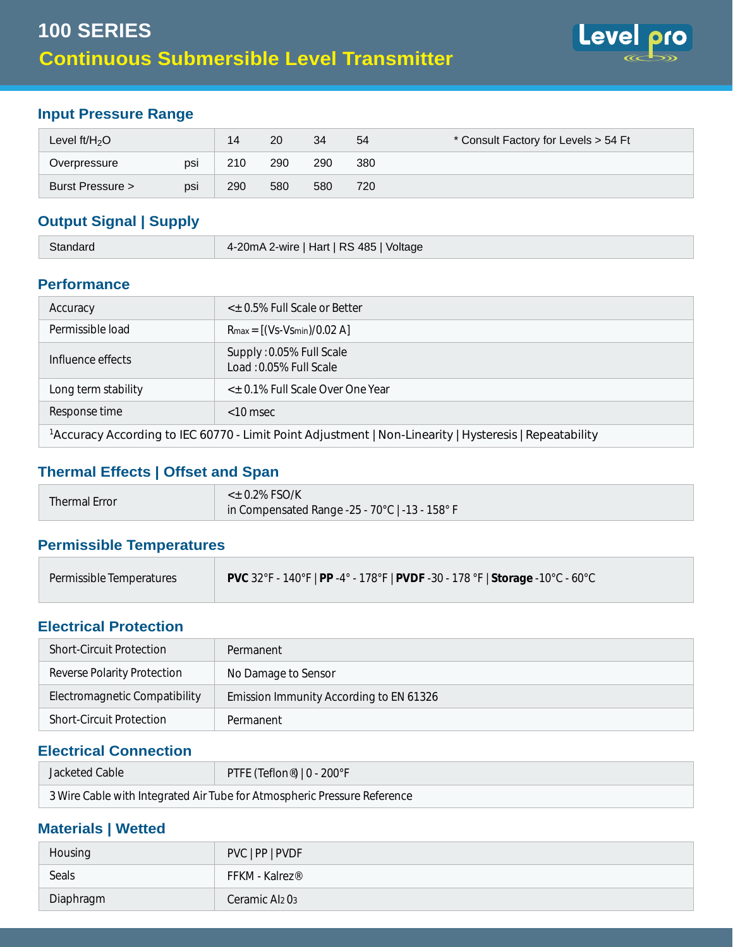

### **Rango de presión de Entrada**

| Nivel $\text{ft/H}_2\text{O}$ |     | 14  | 20  | 34  | 54  | * Consulte a la fábrica para niveles > 54 Ft |
|-------------------------------|-----|-----|-----|-----|-----|----------------------------------------------|
| Sborepresión                  | psi | 210 | 290 | 290 | 380 |                                              |
| Presión de ruptura >          | psi | 290 | 580 | 580 | 720 |                                              |

#### **Señal de salida | Fuete de poder**

|  | 2 cables 4-20mA   Hart   RS 485   Voltaje |
|--|-------------------------------------------|
|--|-------------------------------------------|

#### **Rendimiento**

| Precisión                                                                                                           | < $\pm$ 0.5% Escala completa o mejor               |  |  |  |  |  |
|---------------------------------------------------------------------------------------------------------------------|----------------------------------------------------|--|--|--|--|--|
| Permissible load                                                                                                    | $R_{\text{max}} = [(Vs-Vs_{\text{min}})/0.02 A]$   |  |  |  |  |  |
| Influence effects                                                                                                   | Supply: 0.05% Full Scale<br>Load: 0.05% Full Scale |  |  |  |  |  |
| Estabilidad a largo plazo                                                                                           | < $\pm$ 0.1% Escala completa a lo largo de un año  |  |  |  |  |  |
| Tiempo de repuesta                                                                                                  | $<$ 10 msec                                        |  |  |  |  |  |
| <sup>1</sup> Precisión de acuerdo a IEC 60770 - Limit Point Adjustment   Non-Linearity   Histéresis   Repetibilidad |                                                    |  |  |  |  |  |

#### **Efectos Térmicos | Offset and Span**

| Error Térmico | $<$ ± 0.2% FSO/K                                                   |
|---------------|--------------------------------------------------------------------|
|               | en rango compensado -25 - 70 $^{\circ}$ C   -13 - 158 $^{\circ}$ F |

#### **Temperaturas permisibles**

| Temperaturas permisibles | <b>PVC</b> 32°F - 140°F   PP -4° - 178°F   PVDF -30 - 178 °F   Almacenamiento -10°C - 60°C |
|--------------------------|--------------------------------------------------------------------------------------------|
|                          |                                                                                            |

#### **Protección Eléctrica**

| Protección contra corto circuito                          | Permanente                                                       |  |  |  |
|-----------------------------------------------------------|------------------------------------------------------------------|--|--|--|
| Protección contra polaridad invertida No afecta al sensor |                                                                  |  |  |  |
|                                                           | Compatibilidad electromagnética Inmunida de acuerdo con EN 61326 |  |  |  |
| Protección contra corto circuito                          | Permanente                                                       |  |  |  |

#### **Conexión Eléctrica**

| Cable recubierto                                                                      | PTFE (Teflon®)   0 - 200°F |  |  |  |  |
|---------------------------------------------------------------------------------------|----------------------------|--|--|--|--|
| Cable de tres fases con tubo de aire integrado para referencia de presión atmosférica |                            |  |  |  |  |

#### **Materiales | En contacto con líquido**

| Carcasa   | PVC   PP   PVDF            |
|-----------|----------------------------|
| Juntas    | FFKM - Kalrez®             |
| Diafragma | Ceramic Al <sub>2</sub> 03 |